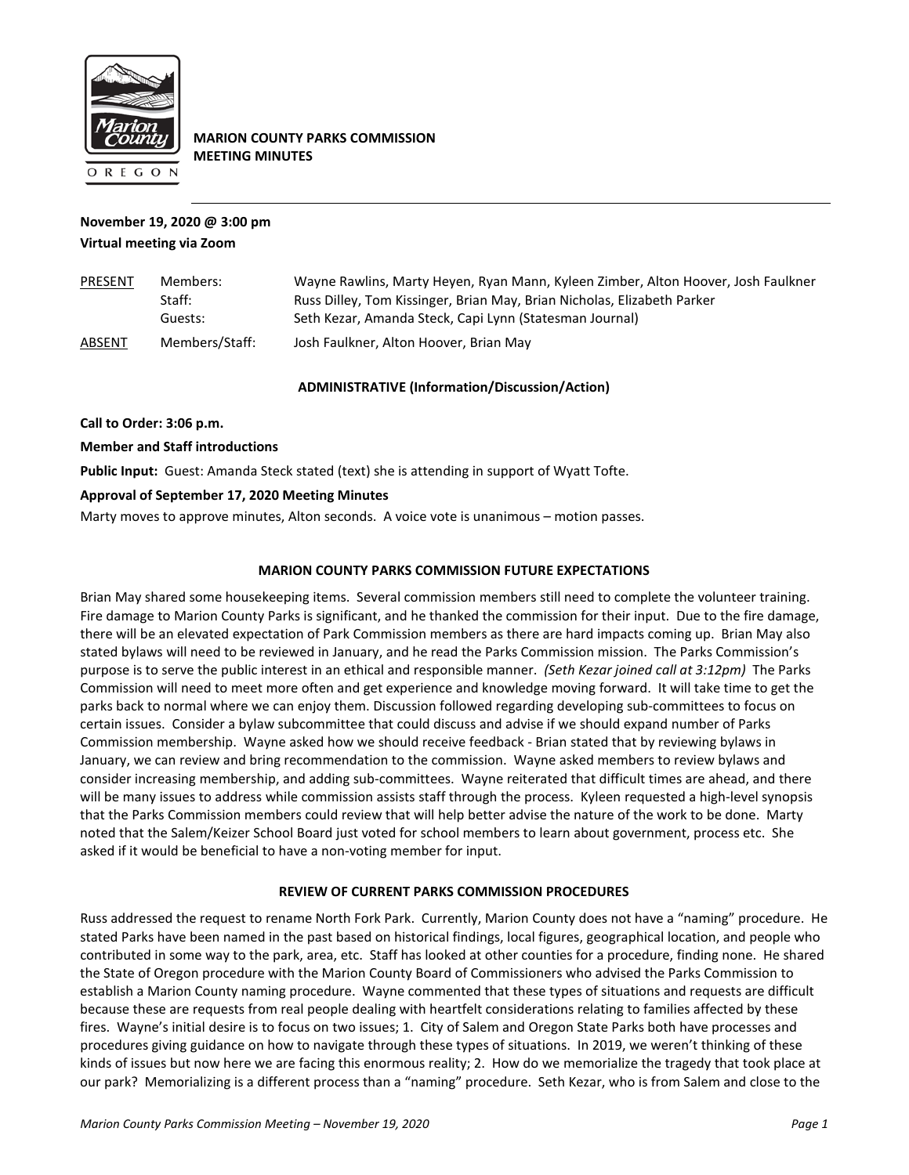

**MARION COUNTY PARKS COMMISSION MEETING MINUTES**

# **November 19, 2020 @ 3:00 pm Virtual meeting via Zoom**

| PRESENT       | Members:       | Wayne Rawlins, Marty Heyen, Ryan Mann, Kyleen Zimber, Alton Hoover, Josh Faulkner |  |
|---------------|----------------|-----------------------------------------------------------------------------------|--|
|               | Staff:         | Russ Dilley, Tom Kissinger, Brian May, Brian Nicholas, Elizabeth Parker           |  |
|               | Guests:        | Seth Kezar, Amanda Steck, Capi Lynn (Statesman Journal)                           |  |
| <b>ABSENT</b> | Members/Staff: | Josh Faulkner, Alton Hoover, Brian May                                            |  |

## **ADMINISTRATIVE (Information/Discussion/Action)**

**Call to Order: 3:06 p.m.**

### **Member and Staff introductions**

**Public Input:** Guest: Amanda Steck stated (text) she is attending in support of Wyatt Tofte.

## **Approval of September 17, 2020 Meeting Minutes**

Marty moves to approve minutes, Alton seconds. A voice vote is unanimous – motion passes.

### **MARION COUNTY PARKS COMMISSION FUTURE EXPECTATIONS**

Brian May shared some housekeeping items. Several commission members still need to complete the volunteer training. Fire damage to Marion County Parks is significant, and he thanked the commission for their input. Due to the fire damage, there will be an elevated expectation of Park Commission members as there are hard impacts coming up. Brian May also stated bylaws will need to be reviewed in January, and he read the Parks Commission mission. The Parks Commission's purpose is to serve the public interest in an ethical and responsible manner. *(Seth Kezar joined call at 3:12pm)* The Parks Commission will need to meet more often and get experience and knowledge moving forward. It will take time to get the parks back to normal where we can enjoy them. Discussion followed regarding developing sub-committees to focus on certain issues. Consider a bylaw subcommittee that could discuss and advise if we should expand number of Parks Commission membership. Wayne asked how we should receive feedback - Brian stated that by reviewing bylaws in January, we can review and bring recommendation to the commission. Wayne asked members to review bylaws and consider increasing membership, and adding sub-committees. Wayne reiterated that difficult times are ahead, and there will be many issues to address while commission assists staff through the process. Kyleen requested a high-level synopsis that the Parks Commission members could review that will help better advise the nature of the work to be done. Marty noted that the Salem/Keizer School Board just voted for school members to learn about government, process etc. She asked if it would be beneficial to have a non-voting member for input.

### **REVIEW OF CURRENT PARKS COMMISSION PROCEDURES**

Russ addressed the request to rename North Fork Park. Currently, Marion County does not have a "naming" procedure. He stated Parks have been named in the past based on historical findings, local figures, geographical location, and people who contributed in some way to the park, area, etc. Staff has looked at other counties for a procedure, finding none. He shared the State of Oregon procedure with the Marion County Board of Commissioners who advised the Parks Commission to establish a Marion County naming procedure. Wayne commented that these types of situations and requests are difficult because these are requests from real people dealing with heartfelt considerations relating to families affected by these fires. Wayne's initial desire is to focus on two issues; 1. City of Salem and Oregon State Parks both have processes and procedures giving guidance on how to navigate through these types of situations. In 2019, we weren't thinking of these kinds of issues but now here we are facing this enormous reality; 2. How do we memorialize the tragedy that took place at our park? Memorializing is a different process than a "naming" procedure. Seth Kezar, who is from Salem and close to the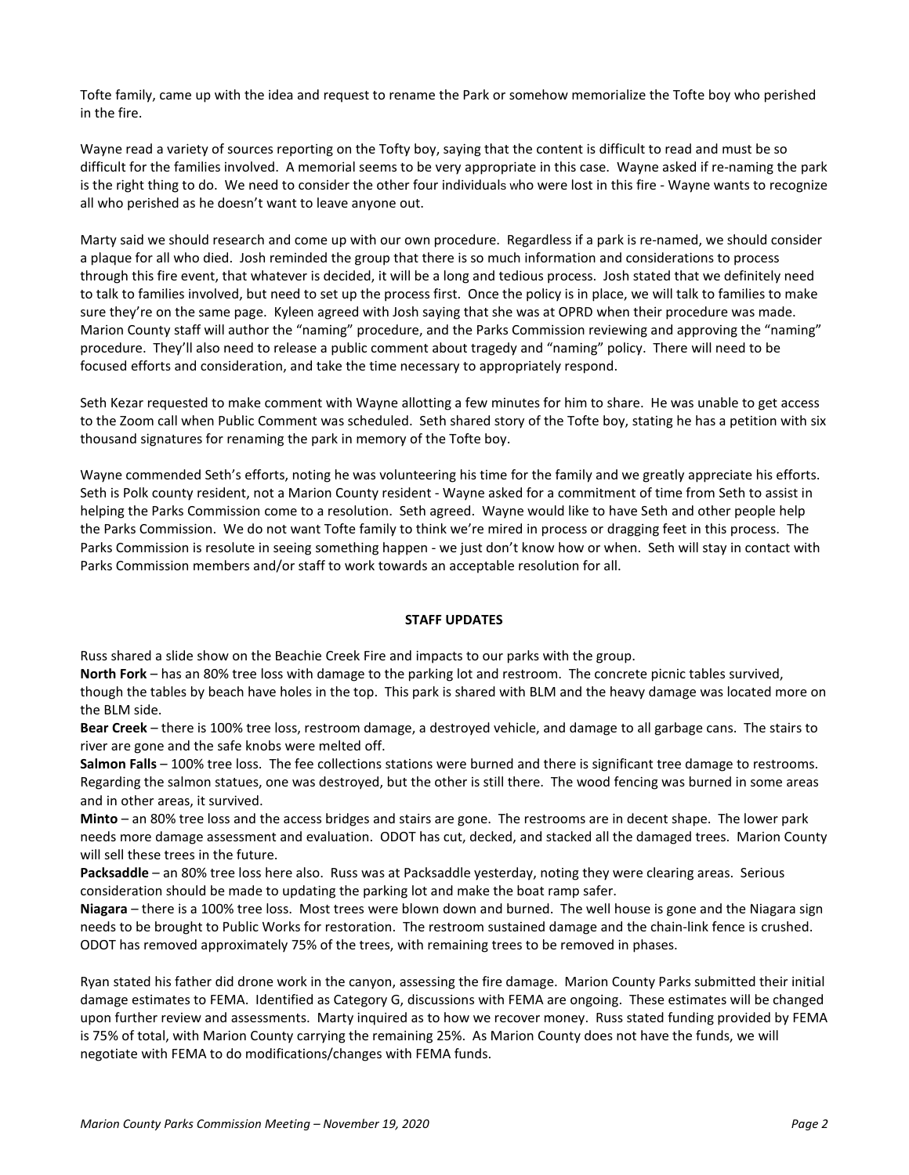Tofte family, came up with the idea and request to rename the Park or somehow memorialize the Tofte boy who perished in the fire.

Wayne read a variety of sources reporting on the Tofty boy, saying that the content is difficult to read and must be so difficult for the families involved. A memorial seems to be very appropriate in this case. Wayne asked if re-naming the park is the right thing to do. We need to consider the other four individuals who were lost in this fire - Wayne wants to recognize all who perished as he doesn't want to leave anyone out.

Marty said we should research and come up with our own procedure. Regardless if a park is re-named, we should consider a plaque for all who died. Josh reminded the group that there is so much information and considerations to process through this fire event, that whatever is decided, it will be a long and tedious process. Josh stated that we definitely need to talk to families involved, but need to set up the process first. Once the policy is in place, we will talk to families to make sure they're on the same page. Kyleen agreed with Josh saying that she was at OPRD when their procedure was made. Marion County staff will author the "naming" procedure, and the Parks Commission reviewing and approving the "naming" procedure. They'll also need to release a public comment about tragedy and "naming" policy. There will need to be focused efforts and consideration, and take the time necessary to appropriately respond.

Seth Kezar requested to make comment with Wayne allotting a few minutes for him to share. He was unable to get access to the Zoom call when Public Comment was scheduled. Seth shared story of the Tofte boy, stating he has a petition with six thousand signatures for renaming the park in memory of the Tofte boy.

Wayne commended Seth's efforts, noting he was volunteering his time for the family and we greatly appreciate his efforts. Seth is Polk county resident, not a Marion County resident - Wayne asked for a commitment of time from Seth to assist in helping the Parks Commission come to a resolution. Seth agreed. Wayne would like to have Seth and other people help the Parks Commission. We do not want Tofte family to think we're mired in process or dragging feet in this process. The Parks Commission is resolute in seeing something happen - we just don't know how or when. Seth will stay in contact with Parks Commission members and/or staff to work towards an acceptable resolution for all.

### **STAFF UPDATES**

Russ shared a slide show on the Beachie Creek Fire and impacts to our parks with the group.

**North Fork** – has an 80% tree loss with damage to the parking lot and restroom. The concrete picnic tables survived, though the tables by beach have holes in the top. This park is shared with BLM and the heavy damage was located more on the BLM side.

**Bear Creek** – there is 100% tree loss, restroom damage, a destroyed vehicle, and damage to all garbage cans. The stairs to river are gone and the safe knobs were melted off.

**Salmon Falls** – 100% tree loss. The fee collections stations were burned and there is significant tree damage to restrooms. Regarding the salmon statues, one was destroyed, but the other is still there. The wood fencing was burned in some areas and in other areas, it survived.

**Minto** – an 80% tree loss and the access bridges and stairs are gone. The restrooms are in decent shape. The lower park needs more damage assessment and evaluation. ODOT has cut, decked, and stacked all the damaged trees. Marion County will sell these trees in the future.

**Packsaddle** – an 80% tree loss here also. Russ was at Packsaddle yesterday, noting they were clearing areas. Serious consideration should be made to updating the parking lot and make the boat ramp safer.

**Niagara** – there is a 100% tree loss. Most trees were blown down and burned. The well house is gone and the Niagara sign needs to be brought to Public Works for restoration. The restroom sustained damage and the chain-link fence is crushed. ODOT has removed approximately 75% of the trees, with remaining trees to be removed in phases.

Ryan stated his father did drone work in the canyon, assessing the fire damage. Marion County Parks submitted their initial damage estimates to FEMA. Identified as Category G, discussions with FEMA are ongoing. These estimates will be changed upon further review and assessments. Marty inquired as to how we recover money. Russ stated funding provided by FEMA is 75% of total, with Marion County carrying the remaining 25%. As Marion County does not have the funds, we will negotiate with FEMA to do modifications/changes with FEMA funds.